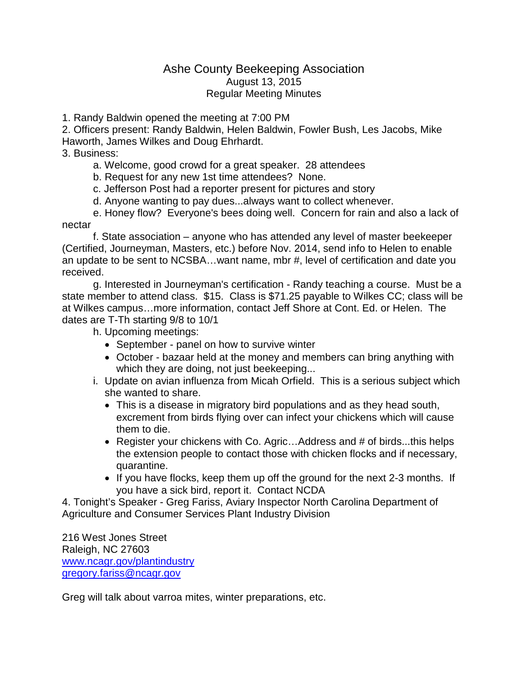## Ashe County Beekeeping Association August 13, 2015 Regular Meeting Minutes

1. Randy Baldwin opened the meeting at 7:00 PM

2. Officers present: Randy Baldwin, Helen Baldwin, Fowler Bush, Les Jacobs, Mike Haworth, James Wilkes and Doug Ehrhardt.

3. Business:

a. Welcome, good crowd for a great speaker. 28 attendees

b. Request for any new 1st time attendees? None.

c. Jefferson Post had a reporter present for pictures and story

d. Anyone wanting to pay dues...always want to collect whenever.

e. Honey flow? Everyone's bees doing well. Concern for rain and also a lack of nectar

f. State association – anyone who has attended any level of master beekeeper (Certified, Journeyman, Masters, etc.) before Nov. 2014, send info to Helen to enable an update to be sent to NCSBA…want name, mbr #, level of certification and date you received.

g. Interested in Journeyman's certification - Randy teaching a course. Must be a state member to attend class. \$15. Class is \$71.25 payable to Wilkes CC; class will be at Wilkes campus…more information, contact Jeff Shore at Cont. Ed. or Helen. The dates are T-Th starting 9/8 to 10/1

h. Upcoming meetings:

- September panel on how to survive winter
- October bazaar held at the money and members can bring anything with which they are doing, not just beekeeping...
- i. Update on avian influenza from Micah Orfield. This is a serious subject which she wanted to share.
	- This is a disease in migratory bird populations and as they head south, excrement from birds flying over can infect your chickens which will cause them to die.
	- Register your chickens with Co. Agric...Address and # of birds...this helps the extension people to contact those with chicken flocks and if necessary, quarantine.
	- If you have flocks, keep them up off the ground for the next 2-3 months. If you have a sick bird, report it. Contact NCDA

4. Tonight's Speaker - Greg Fariss, Aviary Inspector North Carolina Department of Agriculture and Consumer Services Plant Industry Division

216 West Jones Street Raleigh, NC 27603 [www.ncagr.gov/plantindustry](http://www.ncagr.gov/plantindustry) [gregory.fariss@ncagr.gov](mailto:gregory.fariss@ncagr.gov)

Greg will talk about varroa mites, winter preparations, etc.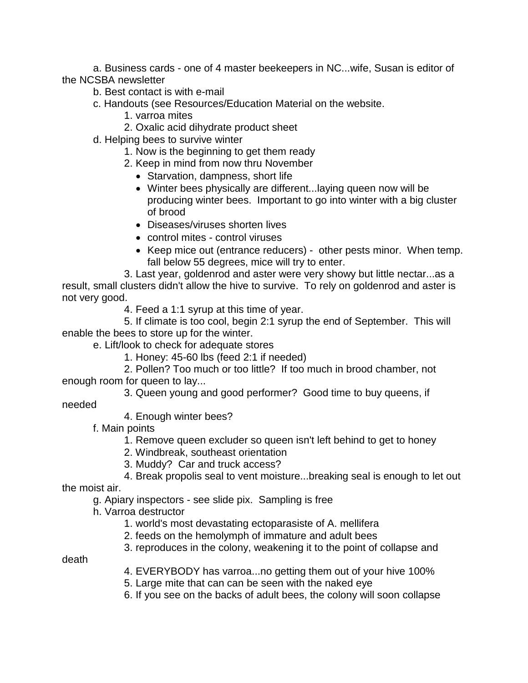a. Business cards - one of 4 master beekeepers in NC...wife, Susan is editor of the NCSBA newsletter

- b. Best contact is with e-mail
- c. Handouts (see Resources/Education Material on the website.
	- 1. varroa mites
	- 2. Oxalic acid dihydrate product sheet
- d. Helping bees to survive winter
	- 1. Now is the beginning to get them ready
	- 2. Keep in mind from now thru November
		- Starvation, dampness, short life
		- Winter bees physically are different...laying queen now will be producing winter bees. Important to go into winter with a big cluster of brood
		- Diseases/viruses shorten lives
		- control mites control viruses
		- Keep mice out (entrance reducers) other pests minor. When temp. fall below 55 degrees, mice will try to enter.

3. Last year, goldenrod and aster were very showy but little nectar...as a result, small clusters didn't allow the hive to survive. To rely on goldenrod and aster is not very good.

4. Feed a 1:1 syrup at this time of year.

5. If climate is too cool, begin 2:1 syrup the end of September. This will enable the bees to store up for the winter.

e. Lift/look to check for adequate stores

1. Honey: 45-60 lbs (feed 2:1 if needed)

2. Pollen? Too much or too little? If too much in brood chamber, not enough room for queen to lay...

3. Queen young and good performer? Good time to buy queens, if

needed

4. Enough winter bees?

f. Main points

- 1. Remove queen excluder so queen isn't left behind to get to honey
- 2. Windbreak, southeast orientation
- 3. Muddy? Car and truck access?

## 4. Break propolis seal to vent moisture...breaking seal is enough to let out

the moist air.

- g. Apiary inspectors see slide pix. Sampling is free
- h. Varroa destructor
	- 1. world's most devastating ectoparasiste of A. mellifera
	- 2. feeds on the hemolymph of immature and adult bees
	- 3. reproduces in the colony, weakening it to the point of collapse and

death

- 4. EVERYBODY has varroa...no getting them out of your hive 100%
- 5. Large mite that can can be seen with the naked eye
- 6. If you see on the backs of adult bees, the colony will soon collapse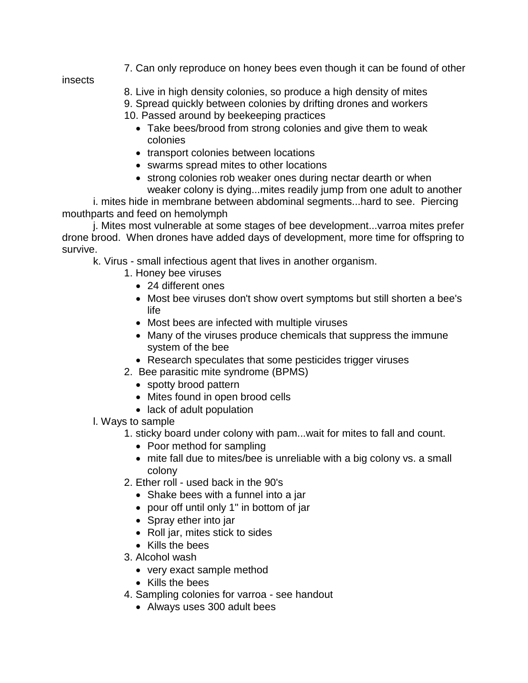7. Can only reproduce on honey bees even though it can be found of other

insects

8. Live in high density colonies, so produce a high density of mites 9. Spread quickly between colonies by drifting drones and workers 10. Passed around by beekeeping practices

- Take bees/brood from strong colonies and give them to weak colonies
- transport colonies between locations
- swarms spread mites to other locations
- strong colonies rob weaker ones during nectar dearth or when weaker colony is dying...mites readily jump from one adult to another

i. mites hide in membrane between abdominal segments...hard to see. Piercing mouthparts and feed on hemolymph

j. Mites most vulnerable at some stages of bee development...varroa mites prefer drone brood. When drones have added days of development, more time for offspring to survive.

k. Virus - small infectious agent that lives in another organism.

- 1. Honey bee viruses
	- 24 different ones
	- Most bee viruses don't show overt symptoms but still shorten a bee's life
	- Most bees are infected with multiple viruses
	- Many of the viruses produce chemicals that suppress the immune system of the bee
	- Research speculates that some pesticides trigger viruses
- 2. Bee parasitic mite syndrome (BPMS)
	- spotty brood pattern
	- Mites found in open brood cells
	- lack of adult population
- l. Ways to sample
	- 1. sticky board under colony with pam...wait for mites to fall and count.
		- Poor method for sampling
		- mite fall due to mites/bee is unreliable with a big colony vs. a small colony
	- 2. Ether roll used back in the 90's
		- Shake bees with a funnel into a jar
		- pour off until only 1" in bottom of jar
		- Spray ether into jar
		- Roll jar, mites stick to sides
		- Kills the bees
	- 3. Alcohol wash
		- very exact sample method
		- Kills the bees
	- 4. Sampling colonies for varroa see handout
		- Always uses 300 adult bees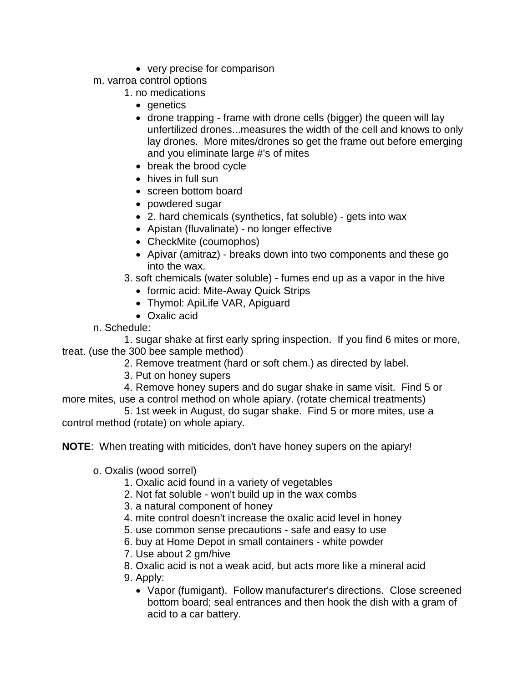- very precise for comparison
- m. varroa control options
	- 1. no medications
		- denetics
		- drone trapping frame with drone cells (bigger) the queen will lay unfertilized drones...measures the width of the cell and knows to only lay drones. More mites/drones so get the frame out before emerging and you eliminate large #'s of mites
		- break the brood cycle
		- hives in full sun
		- screen bottom board
		- powdered sugar
		- 2. hard chemicals (synthetics, fat soluble) gets into wax
		- Apistan (fluvalinate) no longer effective
		- CheckMite (coumophos)
		- Apivar (amitraz) breaks down into two components and these go into the wax.
	- 3. soft chemicals (water soluble) fumes end up as a vapor in the hive
		- formic acid: Mite-Away Quick Strips
		- Thymol: ApiLife VAR, Apiguard
		- Oxalic acid
- n. Schedule:

1. sugar shake at first early spring inspection. If you find 6 mites or more, treat. (use the 300 bee sample method)

- 2. Remove treatment (hard or soft chem.) as directed by label.
- 3. Put on honey supers
- 4. Remove honey supers and do sugar shake in same visit. Find 5 or more mites, use a control method on whole apiary. (rotate chemical treatments)
- 5. 1st week in August, do sugar shake. Find 5 or more mites, use a control method (rotate) on whole apiary.

**NOTE**: When treating with miticides, don't have honey supers on the apiary!

- o. Oxalis (wood sorrel)
	- 1. Oxalic acid found in a variety of vegetables
	- 2. Not fat soluble won't build up in the wax combs
	- 3. a natural component of honey
	- 4. mite control doesn't increase the oxalic acid level in honey
	- 5. use common sense precautions safe and easy to use
	- 6. buy at Home Depot in small containers white powder
	- 7. Use about 2 gm/hive
	- 8. Oxalic acid is not a weak acid, but acts more like a mineral acid
	- 9. Apply:
		- Vapor (fumigant). Follow manufacturer's directions. Close screened bottom board; seal entrances and then hook the dish with a gram of acid to a car battery.